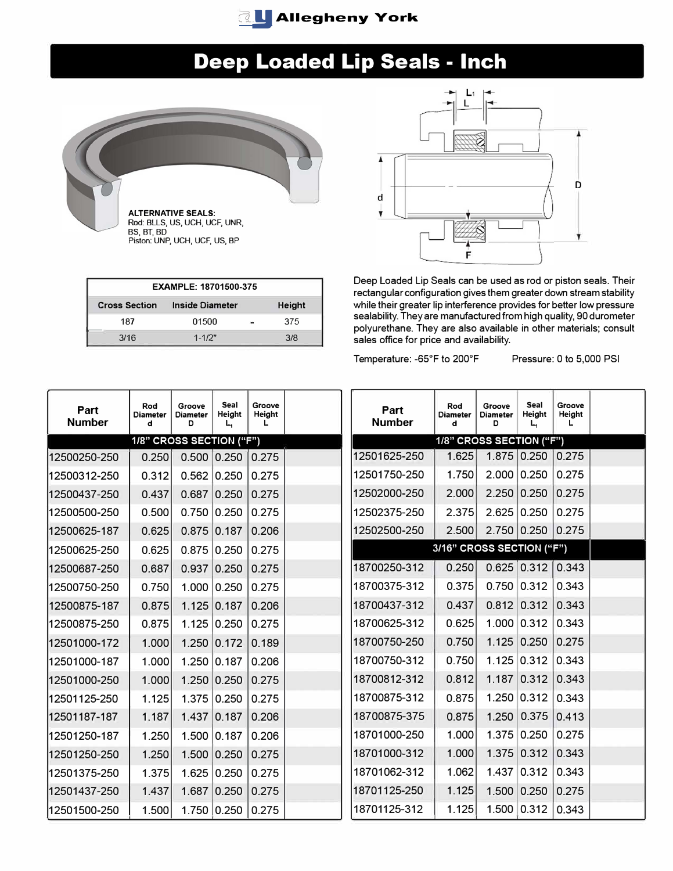

# **Deep Loaded Lip Seals - Inch**



| EXAMPLE: 18701500-375 |                        |                |     |  |  |  |  |  |  |
|-----------------------|------------------------|----------------|-----|--|--|--|--|--|--|
| <b>Cross Section</b>  | <b>Inside Diameter</b> | <b>Height</b>  |     |  |  |  |  |  |  |
| 187                   | 01500                  | $\blacksquare$ | 375 |  |  |  |  |  |  |
| 3/16                  | $1 - 1/2"$             |                | 3/8 |  |  |  |  |  |  |



Deep Loaded Lip Seals can be used as rod or piston seals. Their rectangular configuration gives them greater down stream stability while their greater lip interference provides for better low pressure sealability. They are manufactured from high quality, 90 durometer polyurethane. They are also available in other materials; consult sales office for price and availability.

Temperature: -65° F to 200°

Pressure: 0 to 5,000 PSI

| Part<br><b>Number</b> | Rod<br><b>Diameter</b><br>d | Groove<br><b>Diameter</b><br>D | Seal<br>Height<br>L, | Groove<br>Height<br>L | Part<br><b>Number</b> | Rod<br><b>Diameter</b><br>d | Groove<br><b>Diameter</b><br>D | Seal<br>Height<br>Ц | Groove<br>Height<br>L |  |
|-----------------------|-----------------------------|--------------------------------|----------------------|-----------------------|-----------------------|-----------------------------|--------------------------------|---------------------|-----------------------|--|
|                       | 1/8" CROSS SECTION ("F")    |                                |                      |                       |                       | 1/8" CROSS SECTION ("F")    |                                |                     |                       |  |
| 12500250-250          | 0.250                       |                                | $0.500$ 0.250 0.275  |                       | 12501625-250          | 1.625                       |                                | 1.875 0.250 0.275   |                       |  |
| 12500312-250          | 0.312                       |                                | 0.562 0.250          | 0.275                 | 12501750-250          | 1.750                       |                                | 2.000 0.250         | 0.275                 |  |
| 12500437-250          | 0.437                       |                                | $0.687$ 0.250        | 0.275                 | 12502000-250          | 2.000                       | 2.250   0.250                  |                     | 0.275                 |  |
| 12500500-250          | 0.500                       |                                | 0.750 0.250          | 0.275                 | 12502375-250          | 2.375                       |                                | 2.625   0.250       | 0.275                 |  |
| 12500625-187          | 0.625                       |                                | $0.875$ 0.187        | 0.206                 | 12502500-250          | 2.500                       |                                | 2.750 0.250 0.275   |                       |  |
| 12500625-250          | 0.625                       |                                | 0.875 0.250          | 0.275                 |                       | 3/16" CROSS SECTION ("F")   |                                |                     |                       |  |
| 12500687-250          | 0.687                       |                                | 0.937 0.250          | 0.275                 | 18700250-312          | 0.250                       |                                | 0.625   0.312       | 0.343                 |  |
| 12500750-250          | 0.750                       |                                | 1.000   0.250        | 0.275                 | 18700375-312          | 0.375                       |                                | 0.750   0.312       | 0.343                 |  |
| 12500875-187          | 0.875                       |                                | 1.125   0.187        | 0.206                 | 18700437-312          | 0.437                       |                                | $0.812$ 0.312       | 0.343                 |  |
| 12500875-250          | 0.875                       |                                | 1.125   0.250        | 0.275                 | 18700625-312          | 0.625                       |                                | 1.000 0.312         | 0.343                 |  |
| 12501000-172          | 1.000                       |                                | 1.250 0.172          | 0.189                 | 18700750-250          | 0.750                       |                                | 1.125   0.250       | 0.275                 |  |
| 12501000-187          | 1.000                       |                                | 1.250   0.187        | 0.206                 | 18700750-312          | 0.750                       |                                | 1.125   0.312       | 0.343                 |  |
| 12501000-250          | 1.000                       |                                | 1.250   0.250        | 0.275                 | 18700812-312          | 0.812                       |                                | $1.187$ 0.312       | 0.343                 |  |
| 12501125-250          | 1.125                       |                                | 1.375 0.250          | 0.275                 | 18700875-312          | 0.875                       |                                | 1.250   0.312       | 0.343                 |  |
| 12501187-187          | 1.187                       |                                | 1.437 0.187          | 0.206                 | 18700875-375          | 0.875                       |                                | 1.250   0.375       | 0.413                 |  |
| 12501250-187          | 1.250                       |                                | 1.500 0.187          | 0.206                 | 18701000-250          | 1.000                       |                                | 1.375   0.250       | 0.275                 |  |
| 12501250-250          | 1.250                       |                                | 1.500 0.250          | 0.275                 | 18701000-312          | 1.000                       |                                | 1.375   0.312       | 0.343                 |  |
| 12501375-250          | 1.375                       |                                | 1.625   0.250        | 0.275                 | 18701062-312          | 1.062                       |                                | 1.437 0.312         | 0.343                 |  |
| 12501437-250          | 1.437                       |                                | $1.687$ 0.250        | 0.275                 | 18701125-250          | 1.125                       |                                | 1.500   0.250       | 0.275                 |  |
| 12501500-250          | 1.500                       |                                | 1.750   0.250        | 0.275                 | 18701125-312          | 1.125                       |                                | 1.500   0.312       | 0.343                 |  |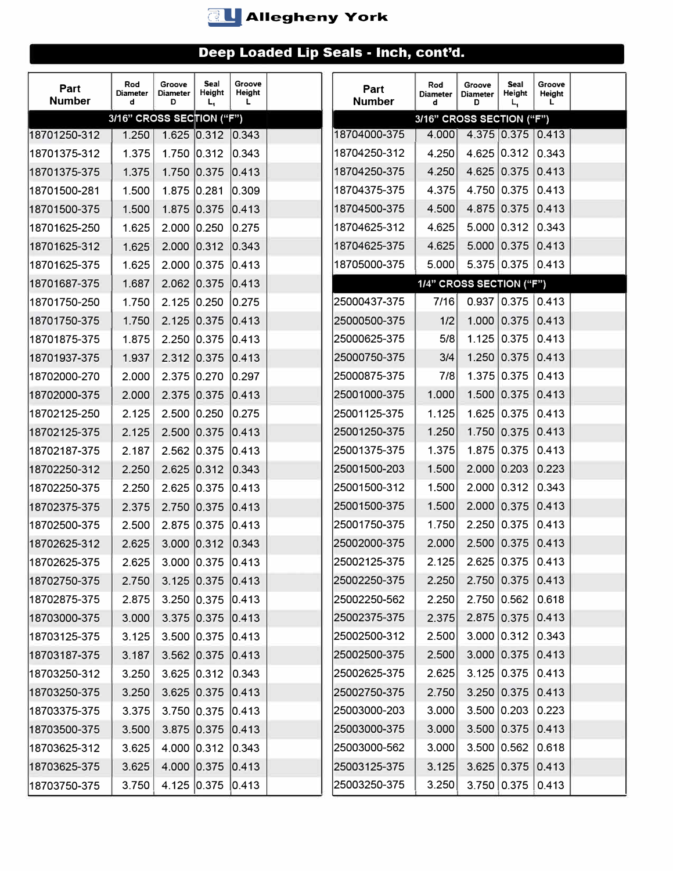

| Part<br><b>Number</b> | Rod<br><b>Diameter</b><br>d | Groove<br>Diameter<br>D | Seal<br>Height<br>L, | Groove<br>Height<br>L | Part<br><b>Number</b> | Rod<br><b>Diameter</b><br>d | Groove<br><b>Diameter</b><br>D | Seal<br>Height<br>L,  | Groove<br>Height<br>L. |  |
|-----------------------|-----------------------------|-------------------------|----------------------|-----------------------|-----------------------|-----------------------------|--------------------------------|-----------------------|------------------------|--|
|                       | 3/16" CROSS SECTION ("F")   |                         |                      |                       |                       | 3/16" CROSS SECTION ("F")   |                                |                       |                        |  |
| 18701250-312          | 1.250                       |                         | 1.625 0.312 0.343    |                       | 18704000-375          | 4.000                       |                                | 4.375 0.375 0.413     |                        |  |
| 18701375-312          | 1.375                       |                         | 1.750 0.312          | 0.343                 | 18704250-312          | 4.250                       |                                | 4.625 0.312           | 0.343                  |  |
| 18701375-375          | 1.375                       |                         | 1.750 0.375          | 0.413                 | 18704250-375          | 4.250                       |                                | 4.625 0.375           | 0.413                  |  |
| 18701500-281          | 1.500                       | 1.875 0.281             |                      | 0.309                 | 18704375-375          | 4.375                       |                                | 4.750 0.375           | 0.413                  |  |
| 18701500-375          | 1.500                       |                         | 1.875 0.375          | 0.413                 | 18704500-375          | 4.500                       |                                | 4.875 0.375           | 0.413                  |  |
| 18701625-250          | 1.625                       | $2.000$ 0.250           |                      | 0.275                 | 18704625-312          | 4.625                       |                                | 5.000   0.312         | 0.343                  |  |
| 18701625-312          | 1.625                       | 2.000 0.312             |                      | 0.343                 | 18704625-375          | 4.625                       |                                | 5.000 0.375           | 0.413                  |  |
| 18701625-375          | 1.625                       | 2.000 0.375             |                      | 0.413                 | 18705000-375          | 5.000                       |                                | $5.375$ 0.375 0.413   |                        |  |
| 18701687-375          | 1.687                       | 2.062 0.375             |                      | 0.413                 |                       | 1/4" CROSS SECTION ("F")    |                                |                       |                        |  |
| 18701750-250          | 1.750                       | $2.125$ 0.250           |                      | 0.275                 | 25000437-375          | 7/16                        |                                | $0.937$ 0.375 0.413   |                        |  |
| 18701750-375          | 1.750                       | 2.125 0.375             |                      | 0.413                 | 25000500-375          | 1/2                         |                                | 1.000 0.375           | 0.413                  |  |
| 18701875-375          | 1.875                       | $2.250$ 0.375           |                      | 0.413                 | 25000625-375          | 5/8                         |                                | $1.125 \mid 0.375$    | 0.413                  |  |
| 18701937-375          | 1.937                       | 2.312 0.375             |                      | 0.413                 | 25000750-375          | 3/4                         |                                | 1.250 0.375           | 0.413                  |  |
| 18702000-270          | 2.000                       | 2.375 0.270             |                      | 0.297                 | 25000875-375          | 7/8                         |                                | 1.375 0.375           | 0.413                  |  |
| 18702000-375          | 2.000                       | 2.375 0.375             |                      | 0.413                 | 25001000-375          | 1.000                       |                                | 1.500 0.375           | 0.413                  |  |
| 18702125-250          | 2.125                       | 2.500 0.250             |                      | 0.275                 | 25001125-375          | 1.125                       |                                | 1.625 0.375           | 0.413                  |  |
| 18702125-375          | 2.125                       | 2.500 0.375             |                      | 0.413                 | 25001250-375          | 1.250                       |                                | 1.750 0.375           | 0.413                  |  |
| 18702187-375          | 2.187                       | $2.562$ 0.375           |                      | 0.413                 | 25001375-375          | 1.375                       |                                | 1.875 0.375           | 0.413                  |  |
| 18702250-312          | 2.250                       | 2.625 0.312             |                      | 0.343                 | 25001500-203          | 1.500                       |                                | 2.000   0.203         | 0.223                  |  |
| 18702250-375          | 2.250                       |                         | 2.625 0.375 0.413    |                       | 25001500-312          | 1.500                       |                                | $2.000$ 0.312         | 0.343                  |  |
| 18702375-375          | 2.375                       | 2.750 0.375             |                      | 0.413                 | 25001500-375          | 1.500                       |                                | 2.000 0.375           | 0.413                  |  |
| 18702500-375          | 2.500                       | 2.875 0.375             |                      | 0.413                 | 25001750-375          | 1.750                       |                                | 2.250   0.375         | 0.413                  |  |
| 18702625-312          | 2.625                       |                         | 3.000 0.312 0.343    |                       | 25002000-375          | 2.000                       |                                | 2.500   0.375         | 0.413                  |  |
| 18702625-375          | 2.625                       |                         | 3.000 0.375 0.413    |                       | 25002125-375          | 2.125                       |                                | 2.625   0.375   0.413 |                        |  |
| 18702750-375          | 2.750                       |                         | $3.125$ 0.375 0.413  |                       | 25002250-375          | 2.250                       |                                | $2.750$ 0.375 0.413   |                        |  |
| 18702875-375          | 2.875                       |                         | 3.250 0.375 0.413    |                       | 25002250-562          | 2.250                       |                                | 2.750 0.562           | 0.618                  |  |
| 18703000-375          | 3.000                       |                         | 3.375 0.375 0.413    |                       | 25002375-375          | 2.375                       |                                | 2.875 0.375           | 0.413                  |  |
| 18703125-375          | 3.125                       |                         | 3.500 0.375 0.413    |                       | 25002500-312          | 2.500                       |                                | $3.000$ 0.312         | 0.343                  |  |
| 18703187-375          | 3.187                       |                         | 3.562 0.375 0.413    |                       | 25002500-375          | 2.500                       |                                | 3.000   0.375         | 0.413                  |  |
| 18703250-312          | 3.250                       |                         | $3.625$ 0.312 0.343  |                       | 25002625-375          | 2.625                       |                                | 3.125   0.375         | 0.413                  |  |
| 18703250-375          | 3.250                       |                         | 3.625 0.375 0.413    |                       | 25002750-375          | 2.750                       |                                | 3.250   0.375         | 0.413                  |  |
| 18703375-375          | 3.375                       |                         | 3.750 0.375 0.413    |                       | 25003000-203          | 3.000                       |                                | $3.500$ 0.203         | 0.223                  |  |
| 18703500-375          | 3.500                       |                         | 3.875 0.375 0.413    |                       | 25003000-375          | 3.000                       |                                | 3.500   0.375         | 0.413                  |  |
| 18703625-312          | 3.625                       |                         | 4.000 0.312 0.343    |                       | 25003000-562          | 3.000                       |                                | 3.500 0.562           | 0.618                  |  |
| 18703625-375          | 3.625                       |                         | 4.000 0.375 0.413    |                       | 25003125-375          | 3.125                       |                                | 3.625   0.375         | 0.413                  |  |
| 18703750-375          | 3.750                       |                         | 4.125 0.375 0.413    |                       | 25003250-375          | 3.250                       |                                |                       | 3.750 0.375 0.413      |  |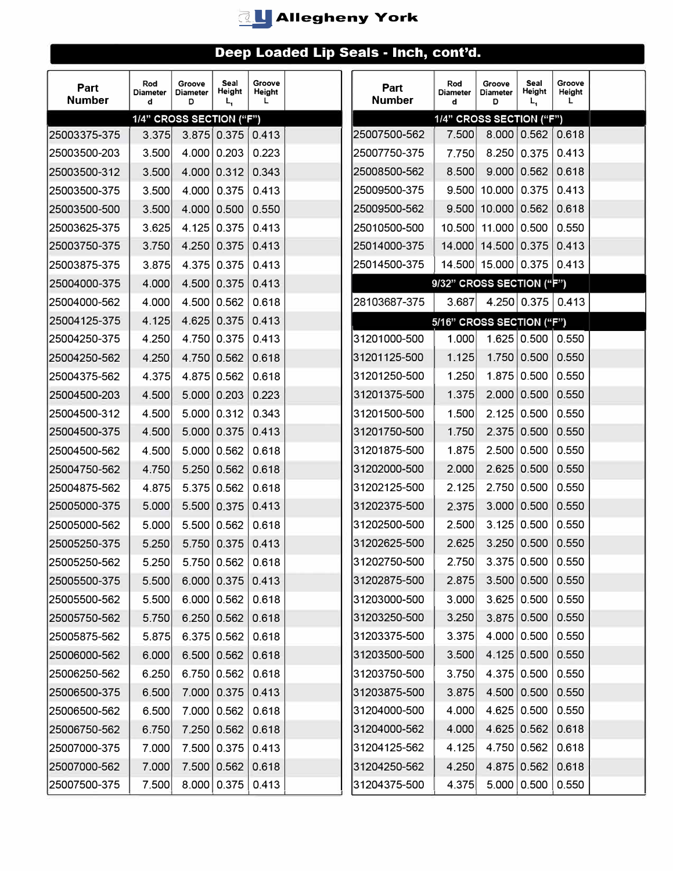

| Part<br><b>Number</b> | Rod<br><b>Diameter</b><br>d | Groove<br>Diameter<br>D  | Seal<br><b>Height</b><br>L, | Groove<br><b>Height</b><br>L | Part<br><b>Number</b> | Rod<br><b>Diameter</b><br>d | Groove<br><b>Diameter</b><br>D | Seal<br>Height<br>L,  | Groove<br>Height<br>L |  |
|-----------------------|-----------------------------|--------------------------|-----------------------------|------------------------------|-----------------------|-----------------------------|--------------------------------|-----------------------|-----------------------|--|
|                       |                             | 1/4" CROSS SECTION ("F") |                             |                              |                       | 1/4" CROSS SECTION ("F")    |                                |                       |                       |  |
| 25003375-375          | 3.375                       |                          | 3.875 0.375                 | 0.413                        | 25007500-562          | 7.500                       |                                | 8.000 0.562           | 0.618                 |  |
| 25003500-203          | 3.500                       |                          | 4.000   0.203               | 0.223                        | 25007750-375          | 7.750                       |                                | 8.250   0.375         | 0.413                 |  |
| 25003500-312          | 3.500                       |                          | 4.000 0.312                 | 0.343                        | 25008500-562          | 8.500                       |                                | 9.000   0.562         | 0.618                 |  |
| 25003500-375          | 3.500                       |                          | 4.000   0.375               | 0.413                        | 25009500-375          |                             | $9.500$ 10.000 0.375           |                       | 0.413                 |  |
| 25003500-500          | 3.500                       |                          | 4.000   0.500               | 0.550                        | 25009500-562          |                             | $9.500$ 10.000 0.562           |                       | 0.618                 |  |
| 25003625-375          | 3.625                       |                          | 4.125 0.375                 | 0.413                        | 25010500-500          |                             | 10.500 11.000 0.500            |                       | 0.550                 |  |
| 25003750-375          | 3.750                       |                          | 4.250 0.375                 | 0.413                        | 25014000-375          |                             | 14.000 14.500 0.375            |                       | 0.413                 |  |
| 25003875-375          | 3.875                       |                          | 4.375 0.375                 | 0.413                        | 25014500-375          |                             | 14.500 15.000 0.375            |                       | 0.413                 |  |
| 25004000-375          | 4.000                       |                          | 4.500 0.375                 | 0.413                        |                       | 9/32" CROSS SECTION ("F")   |                                |                       |                       |  |
| 25004000-562          | 4.000                       |                          | 4.500   0.562               | 0.618                        | 28103687-375          | 3.687                       |                                | 4.250 0.375 0.413     |                       |  |
| 25004125-375          | 4.125                       |                          | 4.625 0.375                 | 0.413                        |                       | 5/16" CROSS SECTION ("F")   |                                |                       |                       |  |
| 25004250-375          | 4.250                       |                          | 4.750 0.375                 | 0.413                        | 31201000-500          | 1.000                       |                                | 1.625   0.500         | 0.550                 |  |
| 25004250-562          | 4.250                       |                          | 4.750 0.562                 | 0.618                        | 31201125-500          | 1.125                       |                                | 1.750   0.500         | 0.550                 |  |
| 25004375-562          | 4.375                       |                          | 4.875 0.562                 | 0.618                        | 31201250-500          | 1.250                       |                                | 1.875 0.500           | 0.550                 |  |
| 25004500-203          | 4.500                       |                          | 5.000   0.203               | 0.223                        | 31201375-500          | 1.375                       |                                | 2.000   0.500         | 0.550                 |  |
| 25004500-312          | 4.500                       |                          | 5.000   0.312               | 0.343                        | 31201500-500          | 1.500                       |                                | $2.125 \mid 0.500$    | 0.550                 |  |
| 25004500-375          | 4.500                       |                          | 5.000 0.375                 | 0.413                        | 31201750-500          | 1.750                       |                                | 2.375 0.500           | 0.550                 |  |
| 25004500-562          | 4.500                       |                          | 5.000   0.562               | 0.618                        | 31201875-500          | 1.875                       |                                | 2.500 0.500           | 0.550                 |  |
| 25004750-562          | 4.750                       |                          | 5.250 0.562                 | 0.618                        | 31202000-500          | 2.000                       |                                | 2.625   0.500         | 0.550                 |  |
| 25004875-562          | 4.875                       |                          | 5.375 0.562                 | 0.618                        | 31202125-500          | 2.125                       |                                | 2.750 0.500           | 0.550                 |  |
| 25005000-375          | 5.000                       |                          | 5.500   0.375               | 0.413                        | 31202375-500          | 2.375                       |                                | 3.000   0.500         | 0.550                 |  |
| 25005000-562          | 5.000                       |                          | 5.500   0.562               | 0.618                        | 31202500-500          | 2.500                       |                                | $3.125 \mid 0.500$    | 0.550                 |  |
| 25005250-375          | 5.250                       |                          | 5.750 0.375                 | 0.413                        | 31202625-500          | 2.625                       |                                | 3.250   0.500         | 0.550                 |  |
| 25005250-562          | 5.250                       |                          | 5.750   0.562   0.618       |                              | 31202750-500          | 2.750                       |                                | 3.375   0.500   0.550 |                       |  |
| 25005500-375          | 5.500                       |                          | 6.000   0.375               | 0.413                        | 31202875-500          | 2.875                       |                                | 3.500   0.500         | 0.550                 |  |
| 25005500-562          | 5.500                       |                          | 6.000   0.562               | 0.618                        | 31203000-500          | 3.000                       |                                | 3.625   0.500         | 0.550                 |  |
| 25005750-562          | 5.750                       |                          | 6.250   0.562               | 0.618                        | 31203250-500          | 3.250                       |                                | 3.875   0.500         | 0.550                 |  |
| 25005875-562          | 5.875                       |                          | 6.375 0.562                 | 0.618                        | 31203375-500          | 3.375                       |                                | 4.000 0.500           | 0.550                 |  |
| 25006000-562          | 6.000                       |                          | 6.500   0.562               | 0.618                        | 31203500-500          | 3.500                       |                                | 4.125 0.500           | 0.550                 |  |
| 25006250-562          | 6.250                       |                          | 6.750   0.562               | 0.618                        | 31203750-500          | 3.750                       |                                | 4.375 0.500           | 0.550                 |  |
| 25006500-375          | 6.500                       |                          | 7.000 0.375                 | 0.413                        | 31203875-500          | 3.875                       |                                | 4.500   0.500         | 0.550                 |  |
| 25006500-562          | 6.500                       |                          | 7.000 0.562                 | 0.618                        | 31204000-500          | 4.000                       |                                | 4.625   0.500         | 0.550                 |  |
| 25006750-562          | 6.750                       |                          | 7.250 0.562                 | 0.618                        | 31204000-562          | 4.000                       |                                | 4.625   0.562         | 0.618                 |  |
| 25007000-375          | 7.000                       |                          | 7.500 0.375                 | 0.413                        | 31204125-562          | 4.125                       |                                | 4.750 0.562           | 0.618                 |  |
| 25007000-562          | 7.000                       |                          | 7.500 0.562                 | 0.618                        | 31204250-562          | 4.250                       |                                | 4.875 0.562           | 0.618                 |  |
| 25007500-375          | 7.500                       |                          | 8.000   0.375               | 0.413                        | 31204375-500          | 4.375                       |                                | 5.000   0.500         | 0.550                 |  |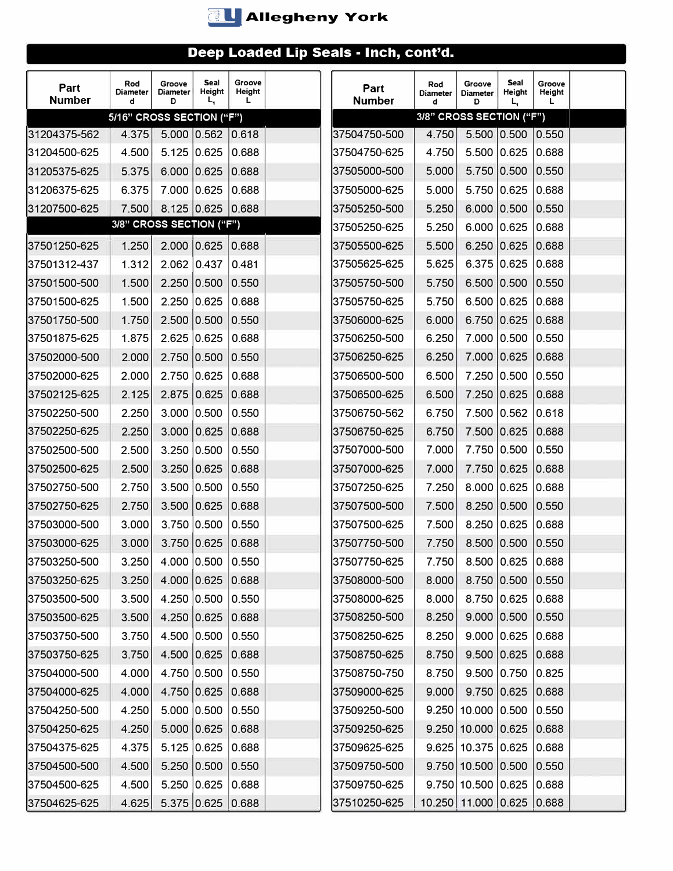

| Part<br><b>Number</b> | Rod<br><b>Diameter</b><br>d | Groove<br><b>Diameter</b><br>D | Seal<br>Height<br>L, | Groove<br>Height<br>L | Part<br><b>Number</b> | Rod<br><b>Diameter</b><br>d | Groove<br><b>Diameter</b><br>D | Seal<br>Height<br>L. | Groove<br>Height<br>L |  |
|-----------------------|-----------------------------|--------------------------------|----------------------|-----------------------|-----------------------|-----------------------------|--------------------------------|----------------------|-----------------------|--|
|                       | 5/16" CROSS SECTION ("F")   |                                |                      |                       |                       | 3/8" CROSS SECTION ("F")    |                                |                      |                       |  |
| 31204375-562          | 4.375                       |                                | 5.000 0.562 0.618    |                       | 37504750-500          | 4.750                       |                                | 5.500 0.500          | 0.550                 |  |
| l31204500-625         | 4.500                       | 5.125 0.625                    |                      | 0.688                 | 37504750-625          | 4.750                       |                                | 5.500 0.625          | 0.688                 |  |
| 31205375-625          | 5.375                       | 6.000   0.625                  |                      | 0.688                 | 37505000-500          | 5.000                       |                                | 5.750 0.500          | 0.550                 |  |
| 31206375-625          | 6.375                       | 7.000 0.625                    |                      | 0.688                 | 37505000-625          | 5.000                       |                                | 5.750 0.625          | 0.688                 |  |
| 31207500-625          | 7.500                       |                                | 8.125 0.625 0.688    |                       | 37505250-500          | 5.250                       |                                | 6.000   0.500        | 0.550                 |  |
|                       | 3/8" CROSS SECTION ("F")    |                                |                      |                       | 37505250-625          | 5.250                       |                                | 6.000   0.625        | 0.688                 |  |
| 37501250-625          | 1.250                       |                                | 2.000   0.625        | 0.688                 | 37505500-625          | 5.500                       |                                | 6.250 0.625          | 0.688                 |  |
| 37501312-437          | 1.312                       | $2.062$ 0.437                  |                      | 0.481                 | 37505625-625          | 5.625                       |                                | 6.375 0.625          | 0.688                 |  |
| 37501500-500          | 1.500                       | 2.250 0.500                    |                      | 0.550                 | 37505750-500          | 5.750                       | 6.500   0.500                  |                      | 0.550                 |  |
| 137501500-625         | 1.500                       | 2.250   0.625                  |                      | 0.688                 | 37505750-625          | 5.750                       |                                | 6.500 0.625          | 0.688                 |  |
| 37501750-500          | 1.750                       | 2.500   0.500                  |                      | 0.550                 | 37506000-625          | 6.000                       | 6.750 0.625                    |                      | 0.688                 |  |
| 37501875-625          | 1.875                       | 2.625 0.625                    |                      | 0.688                 | 37506250-500          | 6.250                       | 7.000 0.500                    |                      | 0.550                 |  |
| 37502000-500          | 2.000                       | 2.750 0.500                    |                      | 0.550                 | 37506250-625          | 6.250                       |                                | 7.000 0.625          | 0.688                 |  |
| 137502000-625         | 2.000                       | 2.750 0.625                    |                      | 0.688                 | 37506500-500          | 6.500                       | 7.250 0.500                    |                      | 0.550                 |  |
| 37502125-625          | 2.125                       | 2.875 0.625                    |                      | 0.688                 | 37506500-625          | 6.500                       | 7.250 0.625                    |                      | 0.688                 |  |
| 37502250-500          | 2.250                       | 3.000   0.500                  |                      | 0.550                 | 37506750-562          | 6.750                       | 7.500 0.562                    |                      | 0.618                 |  |
| 37502250-625          | 2.250                       |                                | 3.000   0.625        | 0.688                 | 37506750-625          | 6.750                       |                                | 7.500 0.625          | 0.688                 |  |
| 37502500-500          | 2.500                       | 3.250   0.500                  |                      | 0.550                 | 37507000-500          | 7.000                       |                                | 7.750 0.500          | 0.550                 |  |
| 37502500-625          | 2.500                       | 3.250 0.625                    |                      | 0.688                 | 37507000-625          | 7.000                       |                                | 7.750 0.625          | 0.688                 |  |
| 137502750-500         | 2.750                       | 3.500 0.500                    |                      | 0.550                 | 37507250-625          | 7.250                       | 8.000 0.625                    |                      | 0.688                 |  |
| 37502750-625          | 2.750                       | 3.500   0.625                  |                      | 0.688                 | 37507500-500          | 7.500                       | 8.250 0.500                    |                      | 0.550                 |  |
| 37503000-500          | 3.000                       |                                | 3.750 0.500          | 0.550                 | 37507500-625          | 7.500                       |                                | 8.250   0.625        | 0.688                 |  |
| 37503000-625          | 3.000                       | 3.750 0.625                    |                      | 0.688                 | 37507750-500          | 7.750                       |                                | 8.500 0.500          | 0.550                 |  |
| 37503250-500          | 3.250                       |                                | 4.000 0.500 0.550    |                       | 37507750-625          |                             | 7.750 8.500 0.625 0.688        |                      |                       |  |
| 37503250-625          | 3.250                       |                                | 4.000 0.625          | 0.688                 | 37508000-500          | 8.000                       |                                | 8.750 0.500          | 0.550                 |  |
| 37503500-500          | 3.500                       |                                | 4.250   0.500        | 0.550                 | 37508000-625          | 8.000                       | 8.750 0.625                    |                      | 0.688                 |  |
| 37503500-625          | 3.500                       | 4.250 0.625                    |                      | 0.688                 | 37508250-500          | 8.250                       |                                | 9.000   0.500        | 0.550                 |  |
| 37503750-500          | 3.750                       |                                | 4.500 0.500          | 0.550                 | 37508250-625          | 8.250                       |                                | 9.000 0.625          | 0.688                 |  |
| 37503750-625          | 3.750                       |                                | 4.500 0.625          | 0.688                 | 37508750-625          | 8.750                       |                                | 9.500   0.625        | 0.688                 |  |
| 37504000-500          | 4.000                       |                                | 4.750 0.500          | 0.550                 | 37508750-750          | 8.750                       | 9.500   0.750                  |                      | 0.825                 |  |
| 37504000-625          | 4.000                       |                                | 4.750 0.625          | 0.688                 | 37509000-625          | 9.000                       |                                | 9.750   0.625        | 0.688                 |  |
| 37504250-500          | 4.250                       |                                | 5.000   0.500        | 0.550                 | 37509250-500          |                             | $9.250$ 10.000 0.500           |                      | 0.550                 |  |
| 37504250-625          | 4.250                       |                                | 5.000   0.625        | 0.688                 | 37509250-625          |                             | $9.250$ 10.000 0.625           |                      | 0.688                 |  |
| 37504375-625          | 4.375                       |                                | 5.125   0.625        | 0.688                 | 37509625-625          |                             | $9.625$ 10.375 0.625           |                      | 0.688                 |  |
| 37504500-500          | 4.500                       |                                | 5.250 0.500          | 0.550                 | 37509750-500          |                             | $9.750$ 10.500 0.500           |                      | 0.550                 |  |
| 37504500-625          | 4.500                       |                                | 5.250   0.625        | 0.688                 | 37509750-625          |                             | $9.750$ 10.500 0.625           |                      | 0.688                 |  |
| 37504625-625          | 4.625                       |                                | 5.375 0.625 0.688    |                       | 37510250-625          |                             | 10.250 11.000 0.625 0.688      |                      |                       |  |